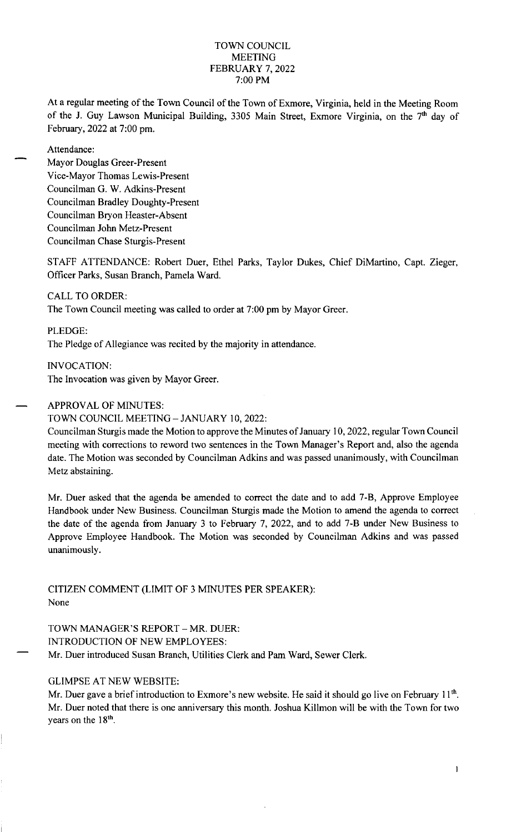# TOWN COUNCIL MEETING FEBRUARY 7, 2022 7:00 PM

At a regular meeting of the Town Council of the Town of Exmore, Virginia, held in the Meeting Room of the J. Guy Lawson Municipal Building, 3305 Main Street, Exmore Virginia, on the 7<sup>th</sup> day of February, 2022 at 7:00 pm.

Attendance:

Mayor Douglas Greer-Present Vice-Mayor Thomas Lewis-Present Councilman G. W. Adkins-Present Councilman Bradley Doughty-Present Councilman Bryon Heaster-Absent Councilman John Metz-Present Councilman Chase Sturgis-Present

STAFF ATTENDANCE: Robert Duer, Ethel Parks, Taylor Dukes, Chief DiMartino, Capt. Zieger, Officer Parks, Susan Branch, Pamela Ward.

CALL TO ORDER:

The Town Council meeting was called to order at 7:00 pm by Mayor Greer.

PLEDGE:

The Pledge of Allegiance was recited by the majority in attendance.

INVOCATION: The Invocation was given by Mayor Greer.<br>
- APPROVAL OF MINUTES:

# APPROVAL OF MINUTES:<br>TOWN COUNCIL MEETING – JANUARY 10, 2022:

Councilman Sturgis made the Motion to approve the Minutes of January 10, 2022, regular Town Council meeting with corrections to reword two sentences in the Town Manager's Report and, also the agenda date. The Motion was seconded by Councilman Adkins and was passed unanimously, with Councilman Metz abstaining.

Mr. Duer asked that the agenda be amended to correct the date and to add 7-B, Approve Employee Handbook under New Business. Councilman Sturgis made the Motion to amend the agenda to correct the date of the agenda from January 3 to February 7, 2022, and to add 7-B under New Business to Approve Employee Handbook. The Motion was seconded by Councilman Adkins and was passed unanimously.

CITIZEN COMMENT (LIMIT OF 3 MINUTES PER SPEAKER): None

TOWN MANAGER'S REPORT - MR. DUER: INTRODUCTION OF NEW EMPLOYEES: Mr. Duer introduced Susan Branch, Utilities Clerk and Pam Ward, Sewer Clerk.

# GLIMPSE AT NEW WEBSITE:

Mr. Duer gave a brief introduction to Exmore's new website. He said it should go live on February 11<sup>th</sup>. Mr. Duer noted that there is one anniversary this month. Joshua Killmon will be with the Town for two years on the  $18<sup>th</sup>$ .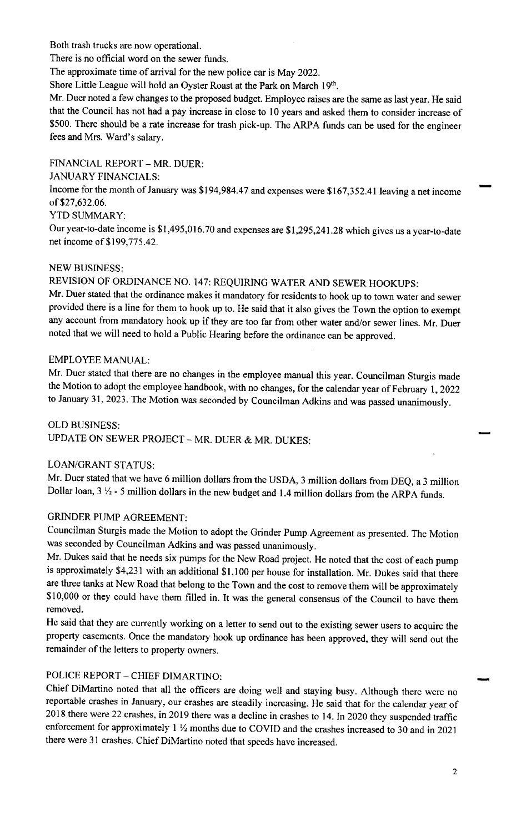Both trash trucks are now operational.

There is no official word on the sewer funds.

The approximate time of arrival for the new police car is May 2022.

Shore Little League will hold an Oyster Roast at the Park on March 19<sup>th</sup>.

Mr. Duer noted a few changes to the proposed budget. Employee raises are the same as last year. He said that the Council has not had a pay increase in close to 10 years and asked them to consider increase of \$500. There should be a rate increase for trash pick-up. The ARPA funds can be used for the engineer fees and Mrs. Ward's salary.

FINANCIAL REPORT - MR. DUER:

JANUARY FINANCIALS:

Income for the month of January was \$194,984.47 and expenses were \$167,352.41 leaving a net income of \$27,632.06.

# YTD SUMMARY:

Our year-to-date income is \$1,495,016.70 and expenses are \$1,295,241.28 which gives us a year-to-date net income of \$199,775.42.

# NEW BUSINESS:

REVISION OF ORDINANCE NO. 147: REQUIRING WATER AND SEWER HOOKUPS:

Mr. Duer stated that the ordinance makes it mandatory for residents to hook up to town water and sewer provided there is a line for them to hook up to. He said that it also gives the Town the option to exempt any account from mandatory hook up if they are too far from other water and/or sewer lines. Mr. Duer noted that we will need to hold a Public Hearing before the ordinance can be approved.

# EMPLOYEE MANUAL:

Mr. Duer stated that there are no changes in the employee manual this year. Councilman Sturgis made the Motion to adopt the employee handbook, with no changes, for the calendar year of February 1, <sup>2022</sup> to January 31, 2023. The Motion was seconded by Councilman Adkins and was passed unanimously.

OLD BUSINESS: UPDATE ON SEWER PROJECT - MR. DUER & MR. DUKES:

# LOAN/GRANT STATUS:

Mr. Duer stated that we have 6 million dollars from the USDA, 3 million dollars from DEQ, <sup>a</sup>3 million Dollar loan,  $3 \frac{1}{2}$  - 5 million dollars in the new budget and 1.4 million dollars from the ARPA funds.

# GRINDER PUMP AGREEMENT:

Councilman Sturgis made the Motion to adopt the Grinder Pump Agreement as presented. The Motion was seconded by Councilman Adkins and was passed unanimously.

Mr. Dukes said that he needs six pumps for the New Road project. He noted that the cost of each pump is approximately \$4,231 with an additional \$1,100 per house for installation. Mr. Dukes said that there are three tanks at New Road that belong to the Town and the cost to remove them will be approximately \$10,000 or they could have them filled in. It was the general consensus of the Council to have them removed.

He said that they are currently working on a letter to send out to the existing sewer users to acquire the property easements. Once the mandatory hook up ordinance has been approved, they will send out the remainder of the letters to property owners.

# POLICE REPORT - CHIEF DIMARTINO:

Chief DiMartino noted that all the officers are doing well and staying busy. Although there were no reportable crashes in January, our crashes are steadily increasing. He said that for the calendar year of 2018 there were 22 crashes, in 2019 there was a decline in crashes to 14. In 2020 they suspended traffic enforcement for approximately 1 <sup>½</sup> months due to COVID and the crashes increased to 30 and in <sup>2021</sup> there were 31 crashes. Chief DiMartino noted that speeds have increased.